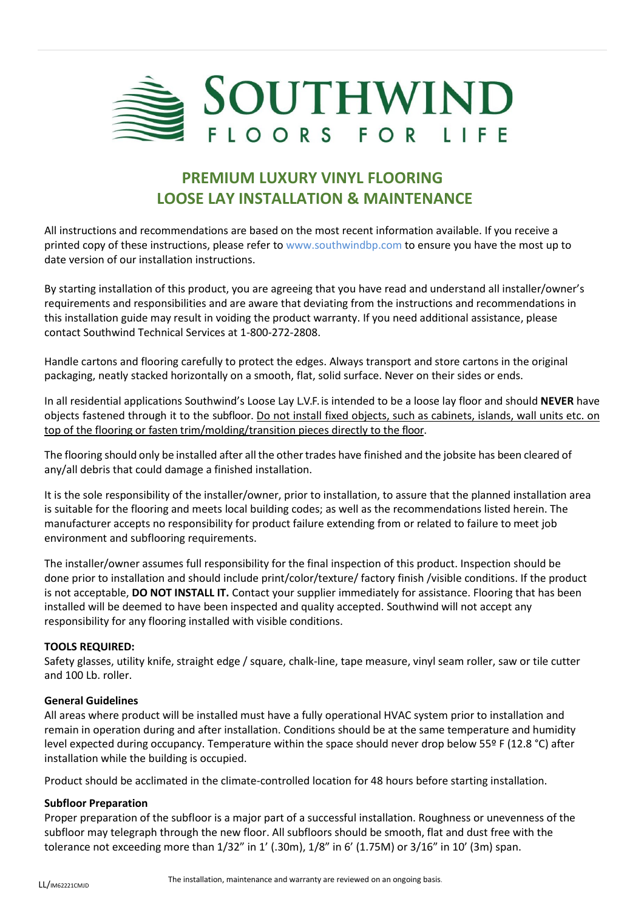

# **PREMIUM LUXURY VINYL FLOORING LOOSE LAY INSTALLATION & MAINTENANCE**

All instructions and recommendations are based on the most recent information available. If you receive a printed copy of these instructions, please refer to www.southwindbp.com to ensure you have the most up to date version of our installation instructions.

By starting installation of this product, you are agreeing that you have read and understand all installer/owner's requirements and responsibilities and are aware that deviating from the instructions and recommendations in this installation guide may result in voiding the product warranty. If you need additional assistance, please contact Southwind Technical Services at 1-800-272-2808.

Handle cartons and flooring carefully to protect the edges. Always transport and store cartons in the original packaging, neatly stacked horizontally on a smooth, flat, solid surface. Never on their sides or ends.

In all residential applications Southwind's Loose Lay L.V.F. is intended to be a loose lay floor and should **NEVER** have objects fastened through it to the subfloor. Do not install fixed objects, such as cabinets, islands, wall units etc. on top of the flooring or fasten trim/molding/transition pieces directly to the floor.

The flooring should only be installed after all the other trades have finished and the jobsite has been cleared of any/all debris that could damage a finished installation.

It is the sole responsibility of the installer/owner, prior to installation, to assure that the planned installation area is suitable for the flooring and meets local building codes; as well as the recommendations listed herein. The manufacturer accepts no responsibility for product failure extending from or related to failure to meet job environment and subflooring requirements.

The installer/owner assumes full responsibility for the final inspection of this product. Inspection should be done prior to installation and should include print/color/texture/ factory finish /visible conditions. If the product is not acceptable, **DO NOT INSTALL IT.** Contact your supplier immediately for assistance. Flooring that has been installed will be deemed to have been inspected and quality accepted. Southwind will not accept any responsibility for any flooring installed with visible conditions.

## **TOOLS REQUIRED:**

Safety glasses, utility knife, straight edge / square, chalk-line, tape measure, vinyl seam roller, saw or tile cutter and 100 Lb. roller.

### **General Guidelines**

All areas where product will be installed must have a fully operational HVAC system prior to installation and remain in operation during and after installation. Conditions should be at the same temperature and humidity level expected during occupancy. Temperature within the space should never drop below 55º F (12.8 °C) after installation while the building is occupied.

Product should be acclimated in the climate-controlled location for 48 hours before starting installation.

### **Subfloor Preparation**

Proper preparation of the subfloor is a major part of a successful installation. Roughness or unevenness of the subfloor may telegraph through the new floor. All subfloors should be smooth, flat and dust free with the tolerance not exceeding more than 1/32" in 1' (.30m), 1/8" in 6' (1.75M) or 3/16" in 10' (3m) span.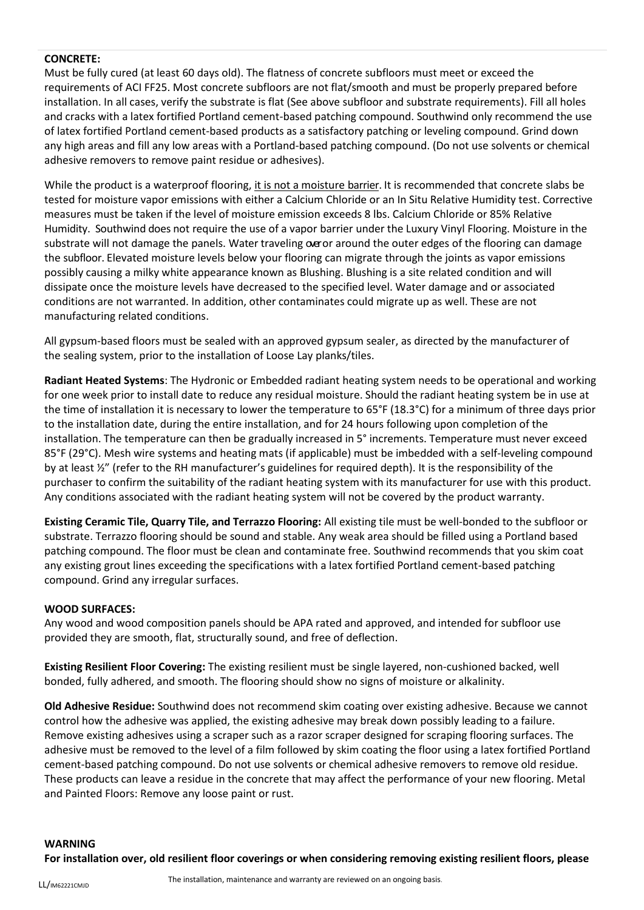## **CONCRETE:**

Must be fully cured (at least 60 days old). The flatness of concrete subfloors must meet or exceed the requirements of ACI FF25. Most concrete subfloors are not flat/smooth and must be properly prepared before installation. In all cases, verify the substrate is flat (See above subfloor and substrate requirements). Fill all holes and cracks with a latex fortified Portland cement-based patching compound. Southwind only recommend the use of latex fortified Portland cement-based products as a satisfactory patching or leveling compound. Grind down any high areas and fill any low areas with a Portland-based patching compound. (Do not use solvents or chemical adhesive removers to remove paint residue or adhesives).

While the product is a waterproof flooring, it is not a moisture barrier. It is recommended that concrete slabs be tested for moisture vapor emissions with either a Calcium Chloride or an In Situ Relative Humidity test. Corrective measures must be taken if the level of moisture emission exceeds 8 lbs. Calcium Chloride or 85% Relative Humidity. Southwind does not require the use of a vapor barrier under the Luxury Vinyl Flooring. Moisture in the substrate will not damage the panels. Water traveling over around the outer edges of the flooring can damage the subfloor. Elevated moisture levels below your flooring can migrate through the joints as vapor emissions possibly causing a milky white appearance known as Blushing. Blushing is a site related condition and will dissipate once the moisture levels have decreased to the specified level. Water damage and or associated conditions are not warranted. In addition, other contaminates could migrate up as well. These are not manufacturing related conditions.

All gypsum-based floors must be sealed with an approved gypsum sealer, as directed by the manufacturer of the sealing system, prior to the installation of Loose Lay planks/tiles.

**Radiant Heated Systems**: The Hydronic or Embedded radiant heating system needs to be operational and working for one week prior to install date to reduce any residual moisture. Should the radiant heating system be in use at the time of installation it is necessary to lower the temperature to 65°F (18.3°C) for a minimum of three days prior to the installation date, during the entire installation, and for 24 hours following upon completion of the installation. The temperature can then be gradually increased in 5° increments. Temperature must never exceed 85°F (29°C). Mesh wire systems and heating mats (if applicable) must be imbedded with a self-leveling compound by at least ½" (refer to the RH manufacturer's guidelines for required depth). It is the responsibility of the purchaser to confirm the suitability of the radiant heating system with its manufacturer for use with this product. Any conditions associated with the radiant heating system will not be covered by the product warranty.

**Existing Ceramic Tile, Quarry Tile, and Terrazzo Flooring:** All existing tile must be well-bonded to the subfloor or substrate. Terrazzo flooring should be sound and stable. Any weak area should be filled using a Portland based patching compound. The floor must be clean and contaminate free. Southwind recommends that you skim coat any existing grout lines exceeding the specifications with a latex fortified Portland cement-based patching compound. Grind any irregular surfaces.

### **WOOD SURFACES:**

Any wood and wood composition panels should be APA rated and approved, and intended for subfloor use provided they are smooth, flat, structurally sound, and free of deflection.

**Existing Resilient Floor Covering:** The existing resilient must be single layered, non-cushioned backed, well bonded, fully adhered, and smooth. The flooring should show no signs of moisture or alkalinity.

**Old Adhesive Residue:** Southwind does not recommend skim coating over existing adhesive. Because we cannot control how the adhesive was applied, the existing adhesive may break down possibly leading to a failure. Remove existing adhesives using a scraper such as a razor scraper designed for scraping flooring surfaces. The adhesive must be removed to the level of a film followed by skim coating the floor using a latex fortified Portland cement-based patching compound. Do not use solvents or chemical adhesive removers to remove old residue. These products can leave a residue in the concrete that may affect the performance of your new flooring. Metal and Painted Floors: Remove any loose paint or rust.

#### **WARNING**

**For installation over, old resilient floor coverings or when considering removing existing resilient floors, please**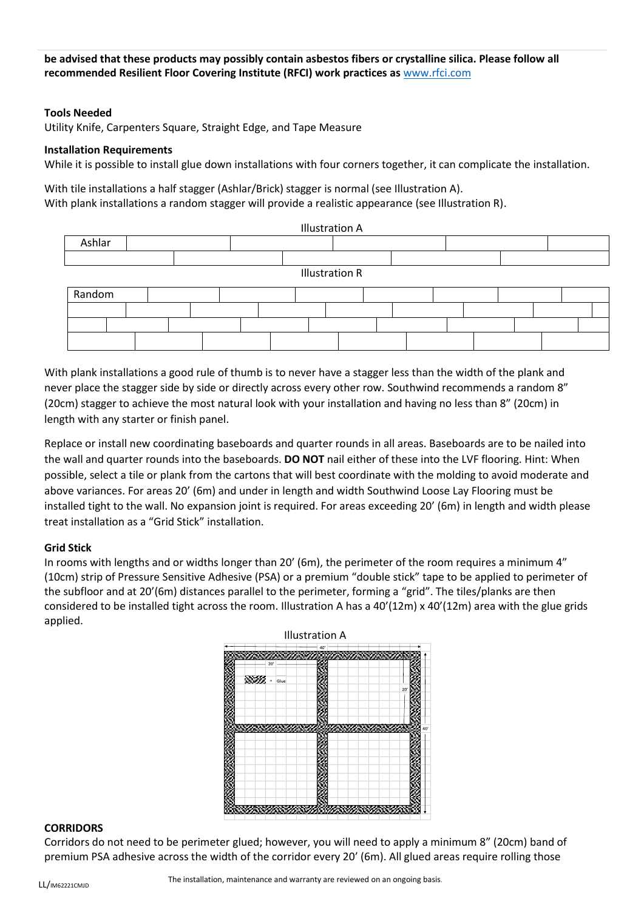**be advised that these products may possibly contain asbestos fibers or crystalline silica. Please follow all recommended Resilient Floor Covering Institute (RFCI) work practices as** [www.rfci.com](http://www.rfci.com/)

### **Tools Needed**

Utility Knife, Carpenters Square, Straight Edge, and Tape Measure

#### **Installation Requirements**

While it is possible to install glue down installations with four corners together, it can complicate the installation.

With tile installations a half stagger (Ashlar/Brick) stagger is normal (see Illustration A). With plank installations a random stagger will provide a realistic appearance (see Illustration R).



With plank installations a good rule of thumb is to never have a stagger less than the width of the plank and never place the stagger side by side or directly across every other row. Southwind recommends a random 8" (20cm) stagger to achieve the most natural look with your installation and having no less than 8" (20cm) in length with any starter or finish panel.

Replace or install new coordinating baseboards and quarter rounds in all areas. Baseboards are to be nailed into the wall and quarter rounds into the baseboards. **DO NOT** nail either of these into the LVF flooring. Hint: When possible, select a tile or plank from the cartons that will best coordinate with the molding to avoid moderate and above variances. For areas 20' (6m) and under in length and width Southwind Loose Lay Flooring must be installed tight to the wall. No expansion joint is required. For areas exceeding 20' (6m) in length and width please treat installation as a "Grid Stick" installation.

### **Grid Stick**

In rooms with lengths and or widths longer than 20' (6m), the perimeter of the room requires a minimum 4" (10cm) strip of Pressure Sensitive Adhesive (PSA) or a premium "double stick" tape to be applied to perimeter of the subfloor and at 20'(6m) distances parallel to the perimeter, forming a "grid". The tiles/planks are then considered to be installed tight across the room. Illustration A has a 40'(12m) x 40'(12m) area with the glue grids applied.



### **CORRIDORS**

Corridors do not need to be perimeter glued; however, you will need to apply a minimum 8" (20cm) band of premium PSA adhesive across the width of the corridor every 20' (6m). All glued areas require rolling those